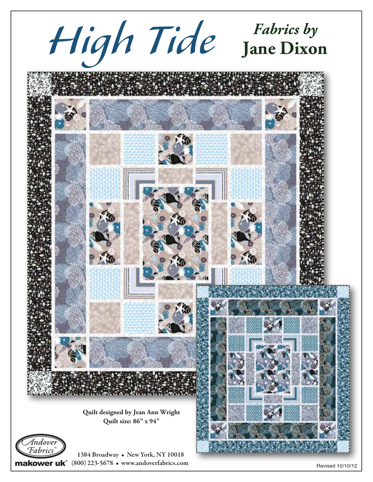

makower uk $^{\circ}$  (800) 223-5678 • www.andoverfabrics.com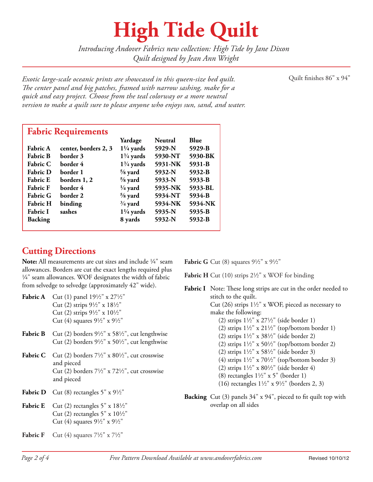## **High Tide Quilt**

*Introducing Andover Fabrics new collection: High Tide by Jane Dixon Quilt designed by Jean Ann Wright*

*Exotic large-scale oceanic prints are showcased in this queen-size bed quilt.* Quilt finishes 86" x 94" *e center panel and big patches, framed with narrow sashing, make for a quick and easy project. Choose from the teal colorway or a more neutral version to make a quilt sure to please anyone who enjoys sun, sand, and water.*

|                 |                      | Yardage              | <b>Neutral</b> | Blue    |
|-----------------|----------------------|----------------------|----------------|---------|
| Fabric A        | center, borders 2, 3 | $1\frac{1}{4}$ yards | 5929-N         | 5929-B  |
| <b>Fabric B</b> | border 3             | $1\frac{3}{4}$ yards | 5930-NT        | 5930-BK |
| <b>Fabric C</b> | border 4             | $1\frac{3}{4}$ yards | 5931-NK        | 5931-B  |
| <b>Fabric D</b> | border 1             | $\frac{5}{8}$ yard   | 5932-N         | 5932-B  |
| <b>Fabric E</b> | borders 1, 2         | $\frac{5}{8}$ yard   | 5933-N         | 5933-B  |
| <b>Fabric F</b> | border 4             | $\frac{1}{4}$ yard   | 5935-NK        | 5933-BL |
| <b>Fabric G</b> | border 2             | $\frac{5}{8}$ yard   | 5934-NT        | 5934-B  |
| <b>Fabric H</b> | binding              | $\frac{3}{4}$ yard   | 5934-NK        | 5934-NK |
| Fabric I        | sashes               | $1\frac{1}{4}$ yards | 5935-N         | 5935-B  |
| <b>Backing</b>  |                      | 8 yards              | 5932-N         | 5932-B  |

#### **Cutting Directions**

**Note:** All measurements are cut sizes and include  $\frac{1}{4}$ " seam allowances. Borders are cut the exact lengths required plus  $\frac{1}{4}$ " seam allowances. WOF designates the width of fabric from selvedge to selvedge (approximately 42" wide).

- **Fabric A** Cut (1) panel  $19\frac{1}{2}$  x  $27\frac{1}{2}$ " Cut (2) strips  $9\frac{1}{2}$ " x  $18\frac{1}{2}$ " Cut (2) strips  $9\frac{1}{2}$ " x  $10\frac{1}{2}$ " Cut (4) squares  $9\frac{1}{2}$ " x  $9\frac{1}{2}$ "
- **Fabric B** Cut (2) borders  $9\frac{1}{2}$ " x  $58\frac{1}{2}$ ", cut lengthwise Cut (2) borders  $9\frac{1}{2}$ " x  $50\frac{1}{2}$ ", cut lengthwise
- **Fabric C** Cut (2) borders  $7\frac{1}{2}$ " x  $80\frac{1}{2}$ ", cut crosswise and pieced Cut (2) borders  $7\frac{1}{2}$ " x  $72\frac{1}{2}$ ", cut crosswise and pieced
- **Fabric D** Cut (8) rectangles  $5''$  x  $9\frac{1}{2}$ "
- **Fabric E** Cut (2) rectangles  $5''$  x  $18\frac{1}{2}$ Cut (2) rectangles  $5" \times 10\frac{1}{2}$ " Cut (4) squares  $9\frac{1}{2}$ " x  $9\frac{1}{2}$ "
- **Fabric F** Cut (4) squares  $7\frac{1}{2}$ " x  $7\frac{1}{2}$ "

**Fabric G** Cut (8) squares  $9\frac{1}{2}$ " x  $9\frac{1}{2}$ "

Fabric H Cut (10) strips 2<sup>1</sup>/<sub>2</sub>" x WOF for binding

- **Fabric I** Note: These long strips are cut in the order needed to stitch to the quilt. Cut (26) strips  $1\frac{1}{2}$ " x WOF, pieced as necessary to make the following: (2) strips  $1\frac{1}{2}$ " x  $27\frac{1}{2}$ " (side border 1) (2) strips  $1\frac{1}{2}$ " x  $21\frac{1}{2}$ " (top/bottom border 1) (2) strips  $1\frac{1}{2}$ " x  $38\frac{1}{2}$ " (side border 2) (2) strips  $1\frac{1}{2}$ " x  $50\frac{1}{2}$ " (top/bottom border 2) (2) strips  $1\frac{1}{2}$ " x 58 $\frac{1}{2}$ " (side border 3) (4) strips  $1\frac{1}{2}$ " x  $70\frac{1}{2}$ " (top/bottom border 3) (2) strips  $1\frac{1}{2}$ " x  $80\frac{1}{2}$ " (side border 4) (8) rectangles  $1\frac{1}{2}$ " x 5" (border 1) (16) rectangles  $1\frac{1}{2}$ " x  $9\frac{1}{2}$ " (borders 2, 3)
- **Backing** Cut (3) panels 34" x 94", pieced to fit quilt top with overlap on all sides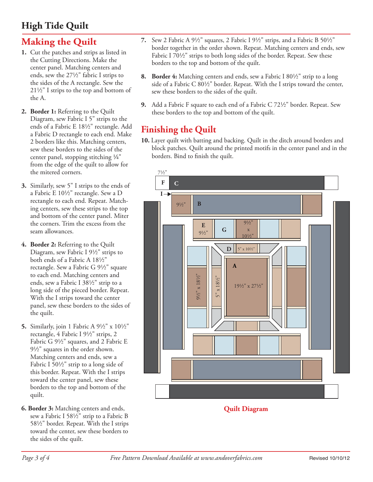### **High Tide Quilt**

#### **Making the Quilt**

- **1.** Cut the patches and strips as listed in the Cutting Directions. Make the center panel. Matching centers and ends, sew the  $27\frac{1}{2}$ " fabric I strips to the sides of the A rectangle. Sew the  $21\frac{1}{2}$ " I strips to the top and bottom of the A.
- **2. Border 1:** Referring to the Quilt Diagram, sew Fabric I 5" strips to the ends of a Fabric E 18½" rectangle. Add a Fabric D rectangle to each end. Make 2 borders like this. Matching centers, sew these borders to the sides of the center panel, stopping stitching  $\frac{1}{4}$ " from the edge of the quilt to allow for the mitered corners.
- **3.** Similarly, sew 5" I strips to the ends of a Fabric E 10½" rectangle. Sew a D rectangle to each end. Repeat. Matching centers, sew these strips to the top and bottom of the center panel. Miter the corners. Trim the excess from the seam allowances.
- **4. Border 2:** Referring to the Quilt Diagram, sew Fabric I  $9\frac{1}{2}$ " strips to both ends of a Fabric A 181/2" rectangle. Sew a Fabric G  $9\frac{1}{2}$ " square to each end. Matching centers and ends, sew a Fabric I 38½" strip to a long side of the pieced border. Repeat. With the I strips toward the center panel, sew these borders to the sides of the quilt.
- **5.** Similarly, join 1 Fabric A  $9\frac{1}{2}$ " x  $10\frac{1}{2}$ " rectangle, 4 Fabric I  $9\frac{1}{2}$ " strips, 2 Fabric G  $9\frac{1}{2}$ " squares, and 2 Fabric E  $9\frac{1}{2}$ " squares in the order shown. Matching centers and ends, sew a Fabric I  $50\frac{1}{2}$ " strip to a long side of this border. Repeat. With the I strips toward the center panel, sew these borders to the top and bottom of the quilt.
- **6. Border 3:** Matching centers and ends, sew a Fabric I 58½" strip to a Fabric B 582" border. Repeat. With the I strips toward the center, sew these borders to the sides of the quilt.
- **7.** Sew 2 Fabric A 91/2" squares, 2 Fabric I 91/2" strips, and a Fabric B 501/2" border together in the order shown. Repeat. Matching centers and ends, sew Fabric I 701/2" strips to both long sides of the border. Repeat. Sew these borders to the top and bottom of the quilt.
- **8. Border 4:** Matching centers and ends, sew a Fabric I 80<sup>1</sup>/<sub>2</sub>" strip to a long side of a Fabric C  $80\frac{1}{2}$ " border. Repeat. With the I strips toward the center, sew these borders to the sides of the quilt.
- **9.** Add a Fabric F square to each end of a Fabric C 72½" border. Repeat. Sew these borders to the top and bottom of the quilt.

#### **Finishing the Quilt**

**10.** Layer quilt with batting and backing. Quilt in the ditch around borders and block patches. Quilt around the printed motifs in the center panel and in the borders. Bind to finish the quilt.